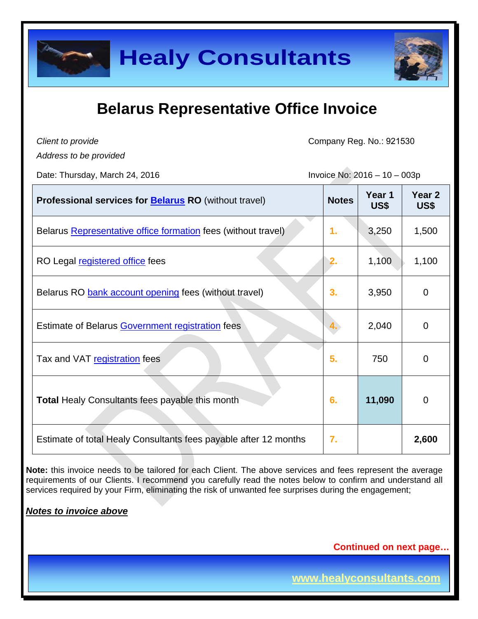

*Client to provide*

Company Reg. No.: 921530

*Address to be provided*

Date: Thursday, March 24, 2016  $\overline{a}$   $\overline{b}$   $\overline{c}$   $\overline{c}$   $\overline{c}$   $\overline{c}$   $\overline{c}$   $\overline{c}$   $\overline{c}$   $\overline{c}$   $\overline{c}$   $\overline{c}$   $\overline{c}$   $\overline{c}$   $\overline{c}$   $\overline{c}$   $\overline{c}$   $\overline{c}$   $\overline{c}$   $\overline{c}$   $\overline{c}$ 

| Professional services for <b>Belarus RO</b> (without travel)     | <b>Notes</b>   | Year 1<br>US\$ | Year <sub>2</sub><br>US\$ |
|------------------------------------------------------------------|----------------|----------------|---------------------------|
| Belarus Representative office formation fees (without travel)    | $\mathbf{1}$ . | 3,250          | 1,500                     |
| RO Legal registered office fees                                  | 2.             | 1,100          | 1,100                     |
| Belarus RO bank account opening fees (without travel)            | 3.             | 3,950          | 0                         |
| Estimate of Belarus Government registration fees                 |                | 2,040          | 0                         |
| Tax and VAT registration fees                                    | 5.             | 750            | 0                         |
| <b>Total Healy Consultants fees payable this month</b>           | 6.             | 11,090         | 0                         |
| Estimate of total Healy Consultants fees payable after 12 months | 7.             |                | 2,600                     |

**Note:** this invoice needs to be tailored for each Client. The above services and fees represent the average requirements of our Clients. I recommend you carefully read the notes below to confirm and understand all services required by your Firm, eliminating the risk of unwanted fee surprises during the engagement;

#### *Notes to invoice above*

**Continued on next page…**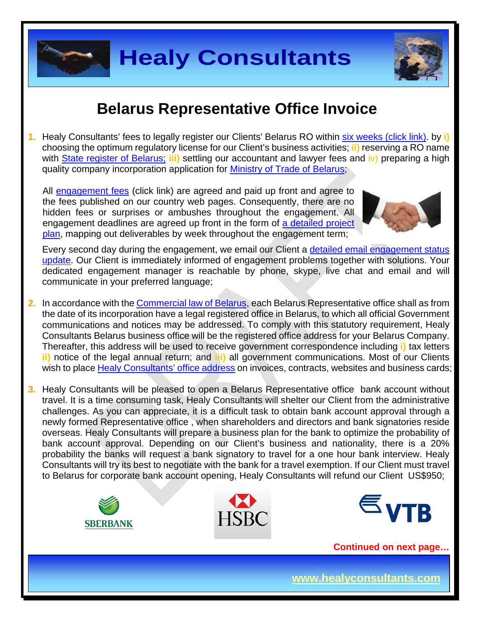

# **Healy Consultants**

#### **Belarus Representative Office Invoice**

**1.** Healy Consultants' fees to legally register our Clients' Belarus RO within [six weeks \(click link\).](http://www.healyconsultants.com/belarus-company-registration/fees-timelines/%23timelines) by **i)** choosing the optimum regulatory license for our Client's business activities; **ii)** reserving a RO name with [State register](http://www.egrul.ru/) of Belarus; iii) settling our accountant and lawyer fees and iv) preparing a high quality company incorporation application for [Ministry of Trade](http://www.mintorg.gov.by/index.php?option=com_content&task=view&id=72&Itemid=78&lang=en) of Belarus;

All [engagement fees](http://www.healyconsultants.com/company-registration-fees/) (click link) are agreed and paid up front and agree to the fees published on our country web pages. Consequently, there are no hidden fees or surprises or ambushes throughout the engagement. All engagement deadlines are agreed up front in the form of a detailed project [plan,](http://www.healyconsultants.com/index-important-links/example-project-plan/) mapping out deliverables by week throughout the engagement term;



Every second day during the engagement, we email our Client a [detailed email engagement status](http://www.healyconsultants.com/index-important-links/weekly-engagement-status-email/)  [update.](http://www.healyconsultants.com/index-important-links/weekly-engagement-status-email/) Our Client is immediately informed of engagement problems together with solutions. Your dedicated engagement manager is reachable by phone, skype, live chat and email and will communicate in your preferred language;

- **2.** In accordance with the [Commercial](http://pravo.levonevsky.org/bazaby/zakon/text24/index.htm) law of Belarus, each Belarus Representative office shall as from the date of its incorporation have a legal registered office in Belarus, to which all official Government communications and notices may be addressed. To comply with this statutory requirement, Healy Consultants Belarus business office will be the registered office address for your Belarus Company. Thereafter, this address will be used to receive government correspondence including **i)** tax letters **ii)** notice of the legal annual return; and **iii)** all government communications. Most of our Clients wish to place [Healy Consultants'](http://www.healyconsultants.com/corporate-outsourcing-services/company-secretary-and-legal-registered-office/) office address on invoices, contracts, websites and business cards;
- **3.** Healy Consultants will be pleased to open a Belarus Representative office bank account without travel. It is a time consuming task, Healy Consultants will shelter our Client from the administrative challenges. As you can appreciate, it is a difficult task to obtain bank account approval through a newly formed Representative office , when shareholders and directors and bank signatories reside overseas. Healy Consultants will prepare a business plan for the bank to optimize the probability of bank account approval. Depending on our Client's business and nationality, there is a 20% probability the banks will request a bank signatory to travel for a one hour bank interview. Healy Consultants will try its best to negotiate with the bank for a travel exemption. If our Client must travel to Belarus for corporate bank account opening, Healy Consultants will refund our Client US\$950;







**Continued on next page…**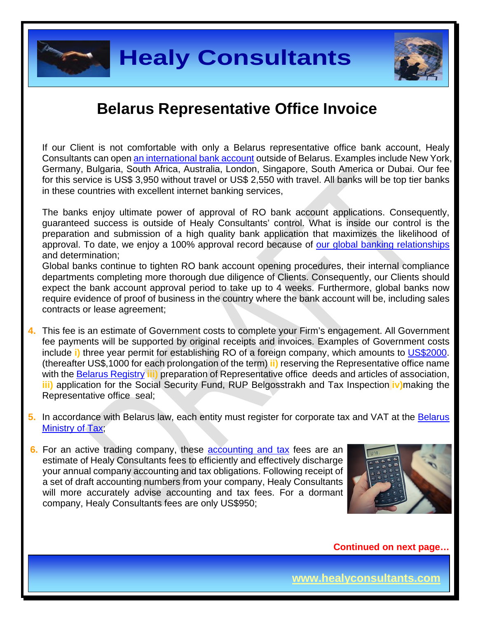



If our Client is not comfortable with only a Belarus representative office bank account, Healy Consultants can open [an international bank account](http://www.healyconsultants.com/international-banking/) outside of Belarus. Examples include New York, Germany, Bulgaria, South Africa, Australia, London, Singapore, South America or Dubai. Our fee for this service is US\$ 3,950 without travel or US\$ 2,550 with travel. All banks will be top tier banks in these countries with excellent internet banking services,

The banks enjoy ultimate power of approval of RO bank account applications. Consequently, guaranteed success is outside of Healy Consultants' control. What is inside our control is the preparation and submission of a high quality bank application that maximizes the likelihood of approval. To date, we enjoy a 100% approval record because of [our global banking relationships](http://www.healyconsultants.com/international-banking/corporate-accounts/) and determination;

Global banks continue to tighten RO bank account opening procedures, their internal compliance departments completing more thorough due diligence of Clients. Consequently, our Clients should expect the bank account approval period to take up to 4 weeks. Furthermore, global banks now require evidence of proof of business in the country where the bank account will be, including sales contracts or lease agreement;

- **4.** This fee is an estimate of Government costs to complete your Firm's engagement. All Government fee payments will be supported by original receipts and invoices. Examples of Government costs include **i)** three year permit for establishing RO of a foreign company, which amounts to [US\\$2000.](http://www.ey.com/Publication/vwLUAssets/ey-doing-business-belarus-2015-eng/$FILE/ey-doing-business-belarus-2015-eng.pdf) (thereafter US\$,1000 for each prolongation of the term) **ii)** reserving the Representative office name with the [Belarus Registry](http://egr.gov.by/egr/) **iii)** preparation of Representative office deeds and articles of association, **iii)** application for the Social Security Fund, RUP Belgosstrakh and Tax Inspection **iv)**making the Representative office seal;
- **5.** In accordance with Belarus law, each entity must register for corporate tax and VAT at the [Belarus](http://www.nalog.gov.by/ru/222/)  [Ministry of Tax;](http://www.nalog.gov.by/ru/222/)
- **6.** For an active trading company, these [accounting and tax](http://www.healyconsultants.com/belarus-company-registration/accounting-legal/) fees are an estimate of Healy Consultants fees to efficiently and effectively discharge your annual company accounting and tax obligations. Following receipt of a set of draft accounting numbers from your company, Healy Consultants will more accurately advise accounting and tax fees. For a dormant company, Healy Consultants fees are only US\$950;



**Continued on next page…**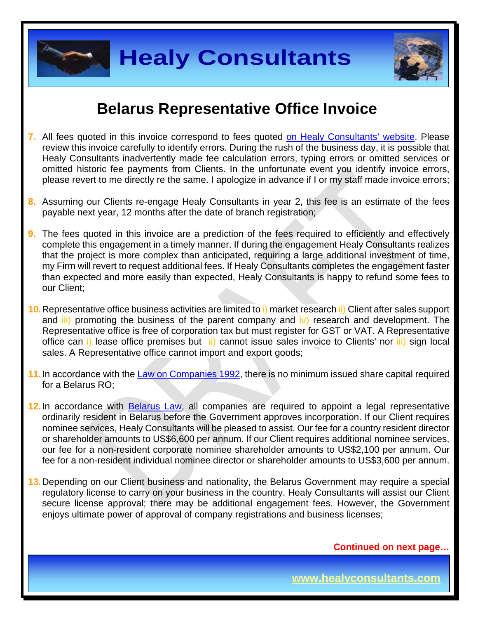

**Healy Consultants**



#### **Belarus Representative Office Invoice**

- **7.** All fees quoted in this invoice correspond to fees quoted [on Healy Consultants' website.](http://www.healyconsultants.com/company-registration-fees/) Please review this invoice carefully to identify errors. During the rush of the business day, it is possible that Healy Consultants inadvertently made fee calculation errors, typing errors or omitted services or omitted historic fee payments from Clients. In the unfortunate event you identify invoice errors, please revert to me directly re the same. I apologize in advance if I or my staff made invoice errors;
- **8.** Assuming our Clients re-engage Healy Consultants in year 2, this fee is an estimate of the fees payable next year, 12 months after the date of branch registration;
- **9.** The fees quoted in this invoice are a prediction of the fees required to efficiently and effectively complete this engagement in a timely manner. If during the engagement Healy Consultants realizes that the project is more complex than anticipated, requiring a large additional investment of time, my Firm will revert to request additional fees. If Healy Consultants completes the engagement faster than expected and more easily than expected, Healy Consultants is happy to refund some fees to our Client;
- **10.**Representative office business activities are limited to i) market research ii) Client after sales support and *iii*) promoting the business of the parent company and iv) research and development. The Representative office is free of corporation tax but must register for GST or VAT. A Representative office can i) lease office premises but *ii*) cannot issue sales invoice to Clients' nor *iii*) sign local sales. A Representative office cannot import and export goods;
- **11.**In accordance with the Law on [Companies 1992,](http://pravo.levonevsky.org/bazaby/zakon/text24/index.htm) there is no minimum issued share capital required for a Belarus RO;
- **12.**In accordance with [Belarus](http://www.belarus.by/en/business/commercial-law) Law, all companies are required to appoint a legal representative ordinarily resident in Belarus before the Government approves incorporation. If our Client requires nominee services, Healy Consultants will be pleased to assist. Our fee for a country resident director or shareholder amounts to US\$6,600 per annum. If our Client requires additional nominee services, our fee for a non-resident corporate nominee shareholder amounts to US\$2,100 per annum. Our fee for a non-resident individual nominee director or shareholder amounts to US\$3,600 per annum.
- **13.**Depending on our Client business and nationality, the Belarus Government may require a special regulatory license to carry on your business in the country. Healy Consultants will assist our Client secure license approval; there may be additional engagement fees. However, the Government enjoys ultimate power of approval of company registrations and business licenses;

**Continued on next page…**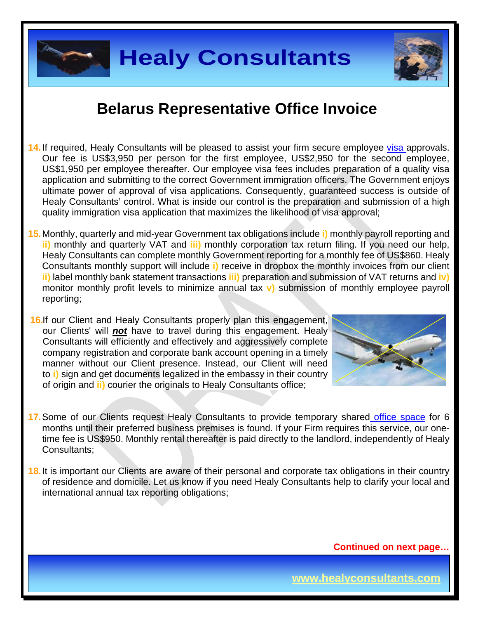

- **14.**If required, Healy Consultants will be pleased to assist your firm secure employee [visa a](http://www.healyconsultants.com/belarus-company-registration/formation-support-services/)pprovals. Our fee is US\$3,950 per person for the first employee, US\$2,950 for the second employee, US\$1,950 per employee thereafter. Our employee visa fees includes preparation of a quality visa application and submitting to the correct Government immigration officers. The Government enjoys ultimate power of approval of visa applications. Consequently, guaranteed success is outside of Healy Consultants' control. What is inside our control is the preparation and submission of a high quality immigration visa application that maximizes the likelihood of visa approval;
- **15.**Monthly, quarterly and mid-year Government tax obligations include **i)** monthly payroll reporting and **ii)** monthly and quarterly VAT and **iii)** monthly corporation tax return filing. If you need our help, Healy Consultants can complete monthly Government reporting for a monthly fee of US\$860. Healy Consultants monthly support will include **i)** receive in dropbox the monthly invoices from our client **ii)** label monthly bank statement transactions **iii)** preparation and submission of VAT returns and **iv)** monitor monthly profit levels to minimize annual tax **v)** submission of monthly employee payroll reporting;
- **16.**If our Client and Healy Consultants properly plan this engagement, our Clients' will *not* have to travel during this engagement. Healy Consultants will efficiently and effectively and aggressively complete company registration and corporate bank account opening in a timely manner without our Client presence. Instead, our Client will need to **i)** sign and get documents legalized in the embassy in their country of origin and **ii)** courier the originals to Healy Consultants office;



- **17.**Some of our Clients request Healy Consultants to provide temporary shared [office space](http://www.healyconsultants.com/virtual-office/) for 6 months until their preferred business premises is found. If your Firm requires this service, our onetime fee is US\$950. Monthly rental thereafter is paid directly to the landlord, independently of Healy Consultants;
- **18.** It is important our Clients are aware of their personal and corporate tax obligations in their country of residence and domicile. Let us know if you need Healy Consultants help to clarify your local and international annual tax reporting obligations;

**Continued on next page…**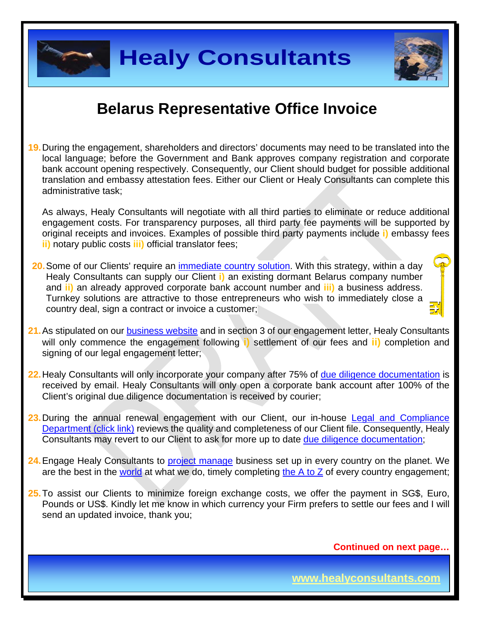

**19.**During the engagement, shareholders and directors' documents may need to be translated into the local language; before the Government and Bank approves company registration and corporate bank account opening respectively. Consequently, our Client should budget for possible additional translation and embassy attestation fees. Either our Client or Healy Consultants can complete this administrative task;

As always, Healy Consultants will negotiate with all third parties to eliminate or reduce additional engagement costs. For transparency purposes, all third party fee payments will be supported by original receipts and invoices. Examples of possible third party payments include **i)** embassy fees **ii)** notary public costs **iii)** official translator fees;

- **20.**Some of our Clients' require an [immediate country](http://www.healyconsultants.com/turnkey-solutions/) solution. With this strategy, within a day Healy Consultants can supply our Client **i)** an existing dormant Belarus company number and **ii)** an already approved corporate bank account number and **iii)** a business address. Turnkey solutions are attractive to those entrepreneurs who wish to immediately close a country deal, sign a contract or invoice a customer;
- 21. As stipulated on our **business website** and in section 3 of our engagement letter, Healy Consultants will only commence the engagement following **i)** settlement of our fees and **ii)** completion and signing of our legal engagement letter;
- **22.**Healy Consultants will only incorporate your company after 75% of [due diligence documentation](http://www.healyconsultants.com/due-diligence/) is received by email. Healy Consultants will only open a corporate bank account after 100% of the Client's original due diligence documentation is received by courier;
- 23. During the annual renewal engagement with our Client, our in-house Legal and Compliance [Department \(click link\)](http://www.healyconsultants.com/about-us/key-personnel/cai-xin-profile/) reviews the quality and completeness of our Client file. Consequently, Healy Consultants may revert to our Client to ask for more up to date [due diligence documentation;](http://www.healyconsultants.com/due-diligence/)
- **24.**Engage Healy Consultants to [project manage](http://www.healyconsultants.com/project-manage-engagements/) business set up in every country on the planet. We are the best in the [world](http://www.healyconsultants.com/best-in-the-world/) at what we do, timely completing [the A to Z](http://www.healyconsultants.com/a-to-z-of-business-set-up/) of every country engagement;
- **25.**To assist our Clients to minimize foreign exchange costs, we offer the payment in SG\$, Euro, Pounds or US\$. Kindly let me know in which currency your Firm prefers to settle our fees and I will send an updated invoice, thank you;

**Continued on next page…**